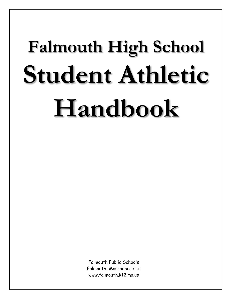# **Falmouth High School Student Athletic Handbook**

Falmouth Public Schools Falmouth, Massachusetts www.falmouth.k12.ma.us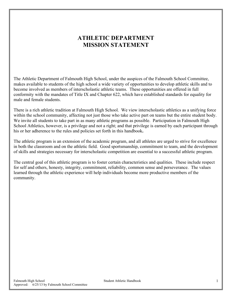# **ATHLETIC DEPARTMENT MISSION STATEMENT**

The Athletic Department of Falmouth High School, under the auspices of the Falmouth School Committee, makes available to students of the high school a wide variety of opportunities to develop athletic skills and to become involved as members of interscholastic athletic teams. These opportunities are offered in full conformity with the mandates of Title IX and Chapter 622, which have established standards for equality for male and female students.

There is a rich athletic tradition at Falmouth High School. We view interscholastic athletics as a unifying force within the school community, affecting not just those who take active part on teams but the entire student body. We invite all students to take part in as many athletic programs as possible. Participation in Falmouth High School Athletics, however, is a privilege and not a right; and that privilege is earned by each participant through his or her adherence to the rules and policies set forth in this handbook**.**

The athletic program is an extension of the academic program, and all athletes are urged to strive for excellence in both the classroom and on the athletic field. Good sportsmanship, commitment to team, and the development of skills and strategies necessary for interscholastic competition are essential to a successful athletic program.

The central goal of this athletic program is to foster certain characteristics and qualities. These include respect for self and others, honesty, integrity, commitment, reliability, common sense and perseverance. The values learned through the athletic experience will help individuals become more productive members of the community.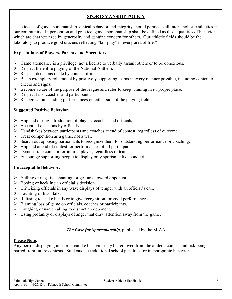#### **SPORTSMANSHIP POLICY**

"The ideals of good sportsmanship, ethical behavior and integrity should permeate all interscholastic athletics in our community. In perception and practice, good sportsmanship shall be defined as those qualities of behavior, which are characterized by generosity and genuine concern for others. Our athletic fields should be the laboratory to produce good citizens reflecting "fair play" in every area of life."

#### **Expectations of Players, Parents and Spectators:**

- $\triangleright$  Game attendance is a privilege, not a license to verbally assault others or to be obnoxious.
- $\triangleright$  Respect the entire playing of the National Anthem.
- $\triangleright$  Respect decisions made by contest officials.
- $\triangleright$  Be an exemplary role model by positively supporting teams in every manner possible, including content of cheers and signs.
- $\triangleright$  Become aware of the purpose of the league and rules to keep winning in its proper place.
- $\triangleright$  Respect fans, coaches and participants.
- Recognize outstanding performances on either side of the playing field.

#### **Suggested Positive Behavior:**

- $\triangleright$  Applaud during introduction of players, coaches and officials.
- $\triangleright$  Accept all decisions by officials.
- $\triangleright$  Handshakes between participants and coaches at end of contest, regardless of outcome.
- $\triangleright$  Treat competition as a game, not a war.
- $\triangleright$  Search out opposing participants to recognize them for outstanding performance or coaching.
- $\triangleright$  Applaud at end of contest for performances of all participants.
- $\triangleright$  Demonstrate concern for injured player, regardless of team.
- $\triangleright$  Encourage supporting people to display only sportsmanlike conduct.

#### **Unacceptable Behavior:**

- $\triangleright$  Yelling or negative chanting, or gestures toward opponent.
- $\triangleright$  Booing or heckling an official's decision.
- $\triangleright$  Criticizing officials in any way; displays of temper with an official's call.
- $\triangleright$  Taunting or trash talk.
- $\triangleright$  Refusing to shake hands or to give recognition for good performances.
- $\triangleright$  Blaming loss of game on officials, coaches or participants.
- $\triangleright$  Laughing or name calling to distract an opponent.
- $\triangleright$  Using profanity or displays of anger that draw attention away from the game.

#### *The Case for Sportsmanship,* published by the MIAA

#### **Please Note**:

Any person displaying unsportsmanlike behavior may be removed from the athletic contest and risk being barred from future contests. Students face additional school penalties for inappropriate behavior.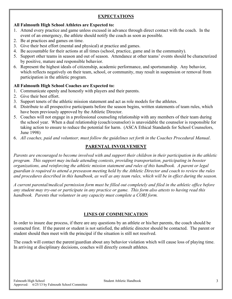#### **EXPECTATIONS**

#### **All Falmouth High School Athletes are Expected to:**

- 1. Attend every practice and game unless excused in advance through direct contact with the coach. In the event of an emergency, the athlete should notify the coach as soon as possible.
- 2. Be at practices and games on time.
- 3. Give their best effort (mental and physical) at practice and games.
- 4. Be accountable for their actions at all times (school, practice, game and in the community).
- 5. Support other teams in season and out of season. Attendance at other teams' events should be characterized by positive, mature and responsible behavior.
- 6. Represent the highest ideals of citizenship, academic performance, and sportsmanship. Any behavior, which reflects negatively on their team, school, or community, may result in suspension or removal from participation in the athletic program.

#### **All Falmouth High School Coaches are Expected to:**

- 1. Communicate openly and honestly with players and their parents.
- 2. Give their best effort.
- 3. Support tenets of the athletic mission statement and act as role models for the athletes.
- 4. Distribute to all prospective participants before the season begins, written statements of team rules, which have been previously approved by the Athletic Director.
- 5. Coaches will not engage in a professional counseling relationship with any members of their team during the school year. When a dual relationship (coach/counselor) is unavoidable the counselor is responsible for taking action to ensure to reduce the potential for harm. (ASCA Ethical Standards for School Counselors, June 1998)
- 6. *All coaches, paid and volunteer, must follow the guidelines set forth in the Coaches Procedural Manual*.

#### **PARENTAL INVOLVEMENT**

*Parents are encouraged to become involved with and support their children in their participation in the athletic program. This support may include attending contests, providing transportation, participating in booster organizations, and reinforcing the athletic mission statement and rules of this handbook. A parent or legal guardian is required to attend a preseason meeting held by the Athletic Director and coach to review the rules and procedures described in this handbook, as well as any team rules, which will be in effect during the season.*

*A current parental/medical permission form must be filled out completely and filed in the athletic office before any student may try-out or participate in any practice or game. This form also attests to having read this handbook. Parents that volunteer in any capacity must complete a CORI form.* 

#### **LINES OF COMMUNICATION**

In order to insure due process, if there are any questions by an athlete or his/her parents, the coach should be contacted first. If the parent or student is not satisfied, the athletic director should be contacted. The parent or student should then meet with the principal if the situation is still not resolved.

The coach will contact the parent/guardian about any behavior violation which will cause loss of playing time. In arriving at disciplinary decisions, coaches will directly consult athletes.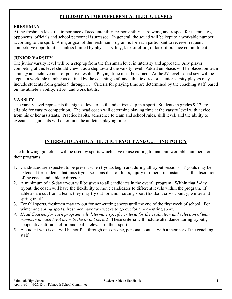#### **PHILOSOPHY FOR DIFFERENT ATHLETIC LEVELS**

#### **FRESHMAN**

At the freshman level the importance of accountability, responsibility, hard work, and respect for teammates, opponents, officials and school personnel is stressed. In general, the squad will be kept to a workable number according to the sport. A major goal of the freshman program is for each participant to receive frequent competitive opportunities, unless limited by physical safety, lack of effort, or lack of practice commitment.

#### **JUNIOR VARSITY**

The junior varsity level will be a step up from the freshman level in intensity and approach. Any player competing at this level should view it as a step toward the varsity level. Added emphasis will be placed on team strategy and achievement of positive results. Playing time must be earned. At the JV level, squad size will be kept at a workable number as defined by the coaching staff and athletic director. Junior varsity players may include students from grades 9 through 11. Criteria for playing time are determined by the coaching staff, based on the athlete's ability, effort, and work habits.

#### **VARSITY**

The varsity level represents the highest level of skill and citizenship in a sport. Students in grades 9-12 are eligible for varsity competition. The head coach will determine playing time at the varsity level with advice from his or her assistants. Practice habits, adherence to team and school rules, skill level, and the ability to execute assignments will determine the athlete's playing time.

#### **INTERSCHOLASTIC ATHLETIC TRYOUT AND CUTTING POLICY**

The following guidelines will be used by sports which have to use cutting to maintain workable numbers for their programs:

- 1. Candidates are expected to be present when tryouts begin and during all tryout sessions. Tryouts may be extended for students that miss tryout sessions due to illness, injury or other circumstances at the discretion of the coach and athletic director.
- 2. A minimum of a 5-day tryout will be given to all candidates in the overall program. Within that 5-day tryout, the coach will have the flexibility to move candidates to different levels within the program. If athletes are cut from a team, they may try out for a non-cutting sport (football, cross country, winter and spring track).
- 3. For fall sports, freshmen may try out for non-cutting sports until the end of the first week of school. For winter and spring sports, freshmen have two weeks to go out for a non-cutting sport.
- *4. Head Coaches for each program will determine specific criteria for the evaluation and selection of team members at each level prior to the tryout period.* These criteria will include attendance during tryouts, cooperative attitude, effort and skills relevant to their sport.
- 5. A student who is cut will be notified through one-on-one, personal contact with a member of the coaching staff.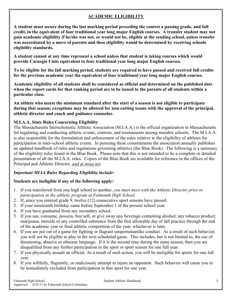#### **ACADEMIC ELIGIBILITY**

**A student must secure during the last marking period preceding the contest a passing grade, and full credit, in the equivalent of four traditional year long major English courses. A transfer student may not gain academic eligibility if he/she was not, or would not be, eligible at the sending school, unless transfer was necessitated by a move of parents and then eligibility would be determined by receiving schools eligibility standards.** 

**A student cannot at any time represent a school unless that student is taking courses which would provide Carnegie Units equivalent to four traditional year long major English courses.**

**To be eligible for the fall marking period, students are required to have passed and received full credits for the previous academic year the equivalent of four traditional year long major English courses.** 

**Academic eligibility of all students shall be considered as official and determined on the published date when the report cards for that ranking period are to be issued to the parents of all students within a particular class.** 

**An athlete who meets the minimum standard after the start of a season is not eligible to participate during that season; exceptions may be allowed for non-cutting teams with the approval of the principal, athletic director and coach and guidance counselor.**

#### **M.I.A.A. State Rules Concerning Eligibility**

The Massachusetts Interscholastic Athletic Association (M.I.A.A.) is the official organization in Massachusetts for regulating and conducting athletic events, contests, and tournaments among member schools. The M.I.A.A. is also responsible for the formulation and enforcement of the rules relative to the eligibility of athletes for participation in inter-school athletic events. In pursuing these commitments the association annually publishes an updated handbook of rules and regulations governing athletics (the Blue Book). The following is a summary of the eligibility rules found in the Blue Book. Please note that this is not intended to be a complete or detailed presentation of all the M.I.A.A. rules. Copies of the Blue Book are available for reference in the offices of the Principal and Athletic Director, *and at miaa.net.*

#### *Important MIAA Rules Regarding Eligibility include***:**

#### **Students are ineligible if any of the following apply:**

- 1. If you transferred from one high school to another, *you must meet with the Athletic Director prior to participation in the athletic program at Falmouth High School.*
- 2. If, since you entered grade 9, twelve (12) consecutive sport seasons have passed.
- 3. If your nineteenth birthday came before September 1 of the present school year.
- 4. If you have graduated from any secondary school.
- 5. If you use, consume, possess, buy/sell, or give away any beverage containing alcohol; any tobacco product; marijuana; steroids or any controlled substance from the first allowable day of fall practice through the end of the academic year or final athletic competition of the year, whichever is later.
- 6. If you are put out of a game for fighting or flagrant unsportsmanlike conduct. As a result of such behavior, you will not be eligible to play in the next scheduled game. This includes, but is not limited to, the use of threatening, abusive or obscene language. If it is the second time during the same season, then you are disqualified from any further participation in the sport or sport season for one full year.
- 7. If you physically assault an official. As a result of such action, you will be ineligible for sports for one full year.
- 8. If you willfully, flagrantly, or maliciously attempt to injure an opponent. Such behavior will cause you to be immediately excluded from participation in that sport for one year.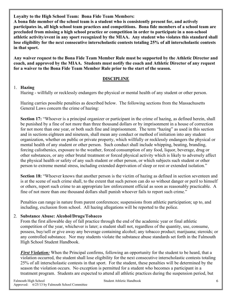**Loyalty to the High School Team: Bona Fide Team Members:**

**A bona fide member of the school team is a student who is consistently present for, and actively participates in, all high school team practices and competitions. Bona fide members of a school team are precluded from missing a high school practice or competition in order to participate in a non-school athletic activity/event in any sport recognized by the MIAA. Any student who violates this standard shall lose eligibility for the next consecutive interscholastic contests totaling 25% of all interscholastic contests in that sport.**

**Any waiver request to the Bona Fide Team Member Rule must be supported by the Athletic Director and coach, and approved by the MIAA. Students must notify the coach and Athletic Director of any request for a waiver to the Bona Fide Team Member Rule prior to the start of the season.** 

#### **DISCIPLINE**

#### 1. **Hazing**

Hazing - willfully or recklessly endangers the physical or mental health of any student or other person.

Hazing carries possible penalties as described below. The following sections from the Massachusetts General Laws concern the crime of hazing:

**Section 17:** "Whoever is a principal organizer or participant in the crime of hazing, as defined herein, shall be punished by a fine of not more than three thousand dollars or by imprisonment in a house of correction for not more than one year, or both such fine and imprisonment. The term "hazing" as used in this section and in sections eighteen and nineteen, shall mean any conduct or method of initiation into any student organization, whether on public or private property, which willfully or recklessly endangers the physical or mental health of any student or other person. Such conduct shall include whipping, beating, branding, forcing calisthenics, exposure to the weather, forced consumption of any food, liquor, beverage, drug or other substances, or any other brutal treatment or forced physical activity which is likely to adversely affect the physical health or safety of any such student or other person, or which subjects such student or other person to extreme mental stress, including extended deprivation of sleep or rest or extended isolation."

**Section 18:** "Whoever knows that another person is the victim of hazing as defined in section seventeen and is at the scene of such crime shall, to the extent that such person can do so without danger or peril to himself or others, report such crime to an appropriate law enforcement official as soon as reasonably practicable. A fine of not more than one thousand dollars shall punish whoever fails to report such crime."

Penalties can range in nature from parent conferences; suspensions from athletic participation; up to, and including, exclusion from school. All hazing allegations will be reported to the police.

#### 2. **Substance Abuse: Alcohol/Drugs/Tobacco**

From the first allowable day of fall practice through the end of the academic year or final athletic competition of the year, whichever is later; a student shall not, regardless of the quantity, use, consume, possess, buy/sell or give away any beverage containing alcohol; any tobacco product; marijuana; steroids; or any controlled substance. Nor may students violate the substance abuse standards set forth in the Falmouth High School Student Handbook.

*First Violation:* When the Principal confirms, following an opportunity for the student to be heard, that a violation occurred, the student shall lose eligibility for the next consecutive interscholastic contests totaling 25% of all interscholastic contests in that sport. For the student, these penalties will be determined by the season the violation occurs. No exception is permitted for a student who becomes a participant in a treatment program.Students are expected to attend all athletic practices during the suspension period, but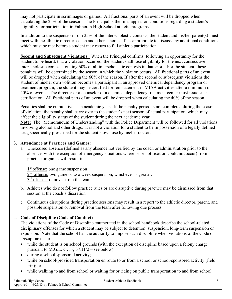may not participate in scrimmages or games. All fractional parts of an event will be dropped when calculating the 25% of the season. The Principal is the final appeal on conditions regarding a student's eligibility for participation in Falmouth High School athletic programs.

In addition to the suspension from 25% of the interscholastic contests, the student and his/her parent(s) must meet with the athletic director, coach and other school staff as appropriate to discuss any additional conditions which must be met before a student may return to full athletic participation.

**Second and Subsequent Violations:** When the Principal confirms, following an opportunity for the student to be heard, that a violation occurred, the student shall lose eligibility for the next consecutive interscholastic contests totaling 60% of all interscholastic contests in that sport. For the student, these penalties will be determined by the season in which the violation occurs. All fractional parts of an event will be dropped when calculating the 60% of the season. If after the second or subsequent violations the student of his/her own volition becomes a participant in an approved chemical dependency program or treatment program, the student may be certified for reinstatement in MIAA activities after a minimum of 40% of events. The director or a counselor of a chemical dependency treatment center must issue such certification. All fractional parts of an event will be dropped when calculating the 40% of the season.

Penalties shall be cumulative each academic year. If the penalty period is not completed during the season of violation, the penalty shall carry over to the student's next season of actual participation, which may affect the eligibility status of the student during the next academic year.

**Note:** The "Memorandum of Understanding" with the Police Department will be followed for all violations involving alcohol and other drugs. It is not a violation for a student to be in possession of a legally defined drug specifically prescribed for the student's own use by his/her doctor.

#### 3. **Attendance at Practices and Games:**

a. Unexcused absence (defined as any absence not verified by the coach or administration prior to the absence, with the exception of emergency situations where prior notification could not occur) from practice or games will result in:

1<sup>st</sup> offense: one game suspension 2<sup>nd</sup> offense: two game or two week suspension, whichever is greater. 3<sup>rd</sup> offense: removal from the team.

- b. Athletes who do not follow practice rules or are disruptive during practice may be dismissed from that session at the coach's discretion.
- c. Continuous disruptions during practice sessions may result in a report to the athletic director, parent, and possible suspension or removal from the team after following due process.

#### 4. **Code of Discipline (Code of Conduct)**

The violations of the Code of Discipline enumerated in the school handbook describe the school-related disciplinary offenses for which a student may be subject to detention, suspension, long-term suspension or expulsion. Note that the school has the authority to impose such discipline when violations of the Code of Discipline occur:

- while the student is on school grounds (with the exception of discipline based upon a felony charge pursuant to M.G.L. c 71  $\S 37H1/2$  – see below)
- during a school sponsored activity;
- while on school-provided transportation en route to or from a school or school-sponsored activity (field trip); or
- while walking to and from school or waiting for or riding on public transportation to and from school.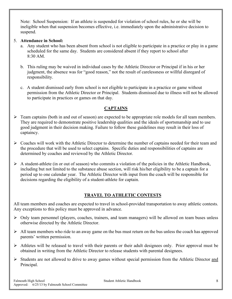Note: School Suspension: If an athlete is suspended for violation of school rules, he or she will be ineligible when that suspension becomes effective, i.e. immediately upon the administrative decision to suspend.

#### 5. **Attendance in School:**

- a. Any student who has been absent from school is not eligible to participate in a practice or play in a game scheduled for the same day. Students are considered absent if they report to school after 8:30 AM.
- b. This ruling may be waived in individual cases by the Athletic Director or Principal if in his or her judgment, the absence was for "good reason," not the result of carelessness or willful disregard of responsibility.
- c. A student dismissed early from school is not eligible to participate in a practice or game without permission from the Athletic Director or Principal. Students dismissed due to illness will not be allowed to participate in practices or games on that day.

#### **CAPTAINS**

- $\triangleright$  Team captains (both in and out of season) are expected to be appropriate role models for all team members. They are required to demonstrate positive leadership qualities and the ideals of sportsmanship and to use good judgment in their decision making. Failure to follow these guidelines may result in their loss of captaincy.
- $\triangleright$  Coaches will work with the Athletic Director to determine the number of captains needed for their team and the procedure that will be used to select captains. Specific duties and responsibilities of captains are determined by coaches and reviewed by the Athletic Director.
- $\triangleright$  A student-athlete (in or out of season) who commits a violation of the policies in the Athletic Handbook, including but not limited to the substance abuse section, will risk his/her eligibility to be a captain for a period up to one calendar year. The Athletic Director with input from the coach will be responsible for decisions regarding the eligibility of a student-athlete for captain.

#### **TRAVEL TO ATHLETIC CONTESTS**

All team members and coaches are expected to travel in school-provided transportation to away athletic contests. Any exceptions to this policy must be approved in advance.

- $\triangleright$  Only team personnel (players, coaches, trainers, and team managers) will be allowed on team buses unless otherwise directed by the Athletic Director.
- $\triangleright$  All team members who ride to an away game on the bus must return on the bus unless the coach has approved parents' written permission.
- $\triangleright$  Athletes will be released to travel with their parents or their adult designees only. Prior approval must be obtained in writing from the Athletic Director to release students with parental designees.
- $\triangleright$  Students are not allowed to drive to away games without special permission from the Athletic Director and Principal.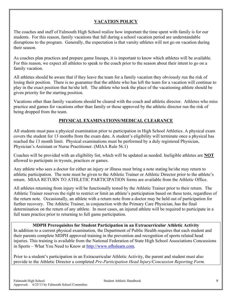#### **VACATION POLICY**

The coaches and staff of Falmouth High School realize how important the time spent with family is for our students. For this reason, family vacations that fall during a school vacation period are understandable disruptions to the program. Generally, the expectation is that varsity athletes will not go on vacation during their season.

As coaches plan practices and prepare game lineups, it is important to know which athletes will be available. For this reason, we expect all athletes to speak to the coach prior to the season about their intent to go on a family vacation.

All athletes should be aware that if they leave the team for a family vacation they obviously run the risk of losing their position. There is no guarantee that the athlete who has left the team for a vacation will continue to play in the exact position that he/she left. The athlete who took the place of the vacationing athlete should be given priority for the starting position.

Vacations other than family vacations should be cleared with the coach and athletic director. Athletes who miss practice and games for vacations other than family or those approved by the athletic director run the risk of being dropped from the team.

#### **PHYSICAL EXAMINATIONS/MEDICAL CLEARANCE**

All students must pass a physical examination prior to participation in High School Athletics. A physical exam covers the student for 13 months from the exam date. A student's eligibility will terminate once a physical has reached the 13 month limit. Physical examinations must be performed by a duly registered Physician, Physician's Assistant or Nurse Practitioner. (MIAA Rule 56.1)

Coaches will be provided with an eligibility list, which will be updated as needed. Ineligible athletes are **NOT** allowed to participate in tryouts, practices or games.

Any athlete who sees a doctor for either an injury or illness must bring a note stating he/she may return to athletic participation. The note must be given to the Athletic Trainer or Athletic Director prior to the athlete's return. MIAA RETURN TO ATHLETIC PARTICIPATION forms are available from the Athletic Office.

All athletes returning from injury will be functionally tested by the Athletic Trainer prior to their return. The Athletic Trainer reserves the right to restrict or limit an athlete's participation based on these tests, regardless of the return note. Occasionally, an athlete with a return note from a doctor may be held out of participation for further recovery. The Athletic Trainer, in conjunction with the Primary Care Physician, has the final determination on the return of any athlete. In most cases, an injured athlete will be required to participate in a full team practice prior to returning to full game participation.

#### **MDPH Prerequisites for Student Participation in an Extracurricular Athletic Activity**

In addition to a current physical examination, the Department of Public Health requires that each student and their parents complete MDPH approved training in the prevention and recognition of sports related head injuries. This training is available from the National Federation of State High School Associations Concussions in Sports – What You Need to Know at [http://www.nfhslearn.com.](http://www.nfhslearn.com/)

Prior to a student's participation in an Extracurricular Athletic Activity, the parent and student must also provide to the Athletic Director a completed *Pre-Participation Head Injury/Concussion Reporting Form*.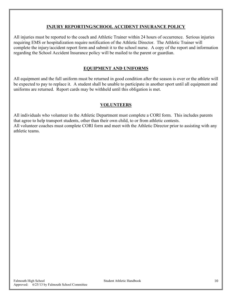#### **INJURY REPORTING/SCHOOL ACCIDENT INSURANCE POLICY**

All injuries must be reported to the coach and Athletic Trainer within 24 hours of occurrence. Serious injuries requiring EMS or hospitalization require notification of the Athletic Director. The Athletic Trainer will complete the injury/accident report form and submit it to the school nurse. A copy of the report and information regarding the School Accident Insurance policy will be mailed to the parent or guardian.

#### **EQUIPMENT AND UNIFORMS**

All equipment and the full uniform must be returned in good condition after the season is over or the athlete will be expected to pay to replace it. A student shall be unable to participate in another sport until all equipment and uniforms are returned. Report cards may be withheld until this obligation is met.

#### **VOLUNTEERS**

All individuals who volunteer in the Athletic Department must complete a CORI form. This includes parents that agree to help transport students, other than their own child, to or from athletic contests. All volunteer coaches must complete CORI form and meet with the Athletic Director prior to assisting with any athletic teams.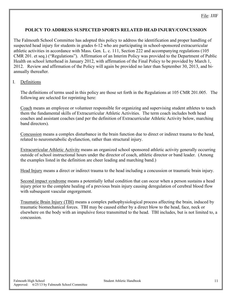#### **POLICY TO ADDRESS SUSPECTED SPORTS RELATED HEAD INJURY/CONCUSSION**

The Falmouth School Committee has adopted this policy to address the identification and proper handling of suspected head injury for students in grades 6-12 who are participating in school-sponsored extracurricular athletic activities in accordance with Mass. Gen. L. c. 111, Section 222 and accompanying regulations (105 CMR 201. et seq.) ("Regulations"). Affirmation of an Interim Policy was provided to the Department of Public Health on school letterhead in January 2012, with affirmation of the Final Policy to be provided by March 1, 2012. Review and affirmation of the Policy will again be provided no later than September 30, 2013, and biannually thereafter.

#### I. Definitions

The definitions of terms used in this policy are those set forth in the Regulations at 105 CMR 201.005. The following are selected for reprinting here:

Coach means an employee or volunteer responsible for organizing and supervising student athletes to teach them the fundamental skills of Extracurricular Athletic Activities. The term coach includes both head coaches and assistant coaches (and per the definition of Extracurricular Athletic Activity below, marching band directors).

Concussion means a complex disturbance in the brain function due to direct or indirect trauma to the head, related to neurometabolic dysfunction, rather than structural injury.

Extracurricular Athletic Activity means an organized school sponsored athletic activity generally occurring outside of school instructional hours under the director of coach, athletic director or band leader. (Among the examples listed in the definition are cheer leading and marching band.)

Head Injury means a direct or indirect trauma to the head including a concussion or traumatic brain injury.

Second impact syndrome means a potentially lethal condition that can occur when a person sustains a head injury prior to the complete healing of a previous brain injury causing deregulation of cerebral blood flow with subsequent vascular engorgement.

Traumatic Brain Injury (TBI) means a complex pathophysiological process affecting the brain, induced by traumatic biomechanical forces. TBI may be caused either by a direct blow to the head, face, neck or elsewhere on the body with an impulsive force transmitted to the head. TBI includes, but is not limited to, a concussion.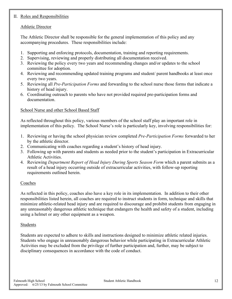#### II. Roles and Responsibilities

#### Athletic Director

The Athletic Director shall be responsible for the general implementation of this policy and any accompanying procedures. These responsibilities include:

- 1. Supporting and enforcing protocols, documentation, training and reporting requirements.
- 2. Supervising, reviewing and properly distributing all documentation received.
- 3. Reviewing the policy every two years and recommending changes and/or updates to the school committee for adoption.
- 4. Reviewing and recommending updated training programs and student/ parent handbooks at least once every two years.
- 5. Reviewing all *Pre-Participation Forms* and forwarding to the school nurse those forms that indicate a history of head injury.
- 6. Coordinating outreach to parents who have not provided required pre-participation forms and documentation.

#### School Nurse and other School Based Staff

As reflected throughout this policy, various members of the school staff play an important role in implementation of this policy. The School Nurse's role is particularly key, involving responsibilities for:

- 1. Reviewing or having the school physician review completed *Pre-Participation Forms* forwarded to her by the athletic director.
- 2. Communicating with coaches regarding a student's history of head injury.
- 3. Following up with parents and students as needed prior to the student's participation in Extracurricular Athletic Activities.
- 4. Reviewing *Department Report of Head Injury During Sports Season Form* which a parent submits as a result of a head injury occurring outside of extracurricular activities, with follow-up reporting requirements outlined herein.

#### Coaches

As reflected in this policy, coaches also have a key role in its implementation. In addition to their other responsibilities listed herein, all coaches are required to instruct students in form, technique and skills that minimize athletic-related head injury and are required to discourage and prohibit students from engaging in any unreasonably dangerous athletic technique that endangers the health and safety of a student, including using a helmet or any other equipment as a weapon.

#### Students

Students are expected to adhere to skills and instructions designed to minimize athletic related injuries. Students who engage in unreasonably dangerous behavior while participating in Extracurricular Athletic Activities may be excluded from the privilege of further participation and, further, may be subject to disciplinary consequences in accordance with the code of conduct.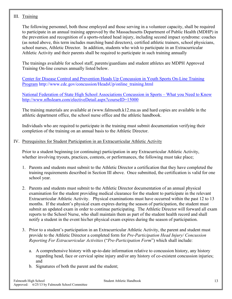#### III. Training

The following personnel, both those employed and those serving in a volunteer capacity, shall be required to participate in an annual training approved by the Massachusetts Department of Public Health (MDHP) in the prevention and recognition of a sports-related head injury, including second impact syndrome: coaches (as noted above, this term includes marching band directors), certified athletic trainers, school physicians, school nurses, Athletic Director. In addition, students who wish to participate in an Extracurricular Athletic Activity and their parents shall be required to participate in such training annually

The trainings available for school staff, parents/guardians and student athletes are MDPH Approved Training On-line courses annually listed below.

[Center for Disease Control and Prevention Heads Up Concussion in Youth Sports On-Line Training](http://www.cdc.gov/concussion/HeadsUp/online_training.html)  [Program](http://www.cdc.gov/concussion/HeadsUp/online_training.html) http://www.cdc.gov/concussion/HeadsUp/online\_training.html

[National Federation of State High School Associations Concussion in Sports –](http://www.nfhslearn.com/electiveDetail.aspx?courseID=15000) What you Need to Know <http://www.nfhslearn.com/electiveDetail.aspx?courseID=15000>

The training materials are available at (www.falmouth.k12.ma.us and hard copies are available in the athletic department office, the school nurse office and the athletic handbook.

Individuals who are required to participate in the training must submit documentation verifying their completion of the training on an annual basis to the Athletic Director.

#### IV. Prerequisites for Student Participation in an Extracurricular Athletic Activity

Prior to a student beginning (or continuing) participation in any Extracurricular Athletic Activity, whether involving tryouts, practices, contests, or performances, the following must take place;

- 1. Parents and students must submit to the Athletic Director a certification that they have completed the training requirements described in Section III above. Once submitted, the certification is valid for one school year.
- 2. Parents and students must submit to the Athletic Director documentation of an annual physical examination for the student providing medical clearance for the student to participate in the relevant Extracurricular Athletic Activity. Physical examinations must have occurred within the past 12 to 13 months. If the student's physical exam expires during the season of participation, the student must submit an updated exam in order to continue participating. The Athletic Director will forward all exam reports to the School Nurse, who shall maintain them as part of the student health record and shall notify a student in the event his/her physical exam expires during the season of participation.
- 3. Prior to a student's participation in an Extracurricular Athletic Activity, the parent and student must provide to the Athletic Director a completed form for *Pre-Participation Head Injury/ Concussion Reporting For Extracurricular Activities* ("*Pre-Participation Form*") which shall include:
	- a. A comprehensive history with up-to-date information relative to concussion history, any history regarding head, face or cervical spine injury and/or any history of co-existent concussion injuries; and
	- b. Signatures of both the parent and the student;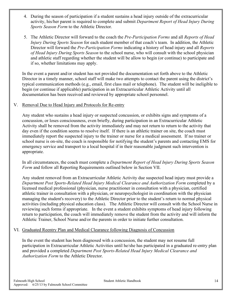- 4. During the season of participation if a student sustains a head injury outside of the extracurricular activity, his/her parent is required to complete and submit *Department Report of Head Injury During Sports Season Form* to the Athletic Director.
- 5. The Athletic Director will forward to the coach the *Pre-Participation Forms* and all *Reports of Head Injury During Sports Season* for each student member of that coach's team. In addition, the Athletic Director will forward the *Pre-Participation Forms* indicating a history of head injury and all *Reports of Head Injury During Sports Season* to the *s*chool nurse, who will consult with the school physician and athletic staff regarding whether the student will be allow to begin (or continue) to participate and if so, whether limitations may apply.

In the event a parent and/or student has not provided the documentation set forth above to the Athletic Director in a timely manner, school staff will make two attempts to contact the parent using the district's typical communication methods (e.g., email, first class mail or telephone). The student will be ineligible to begin (or continue if applicable) participation in an Extracurricular Athletic Activity until all documentation has been received and reviewed by appropriate school personnel.

#### V. Removal Due to Head Injury and Protocols for Re-entry

Any student who sustains a head injury or suspected concussion, or exhibits signs and symptoms of a concussion, or loses consciousness, even briefly, during participation in an Extracurricular Athletic Activity shall be removed from the activity immediately and may not return to return to the activity that day even if the condition seems to resolve itself. If there is an athletic trainer on site, the coach must immediately report the suspected injury to the trainer or nurse for a medical assessment. If no trainer or school nurse is on-site, the coach is responsible for notifying the student's parents and contacting EMS for emergency service and transport to a local hospital if in their reasonable judgment such intervention is appropriate.

In all circumstances, the coach must complete a *Department Report of Head Injury During Sports Season Form* and follow all Reporting Requirements outlined below in Section VII.

Any student removed from an Extracurricular Athletic Activity due suspected head injury must provide a *Department Post Sports-Related Head Injury Medical Clearance and Authorization Form* completed by a licensed medical professional (physician, nurse practitioner in consultation with a physician, certified athletic trainer in consultation with a physician, or neuropsychologist in coordination with the physician managing the student's recovery) to the Athletic Director prior to the student's return to normal physical activities (including physical education class). The Athletic Director will consult with the School Nurse in reviewing such forms if appropriate. In the event a student exhibits symptoms of head injury following return to participation, the coach will immediately remove the student from the activity and will inform the Athletic Trainer, School Nurse and/or the parents in order to initiate further consultation.

#### VI. Graduated Reentry Plan and Medical Clearance following Diagnosis of Concussion

In the event the student has been diagnosed with a concussion, the student may not resume full participation in Extracurricular Athletic Activities until he/she has participated in a graduated re-entry plan and provided a completed *Department Post Sports-Related Head Injury Medical Clearance and Authorization Form* to the Athletic Director.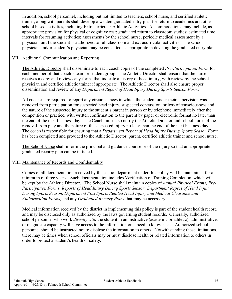In addition, school personnel, including but not limited to teachers, school nurse, and certified athletic trainer, along with parents shall develop a written graduated entry plan for return to academics and other school based activities, including Extracurricular Athletic Activities. Accommodations, may include, as appropriate: provision for physical or cognitive rest; graduated return to classroom studies; estimated time intervals for resuming activities; assessments by the school nurse; periodic medical assessment by a physician until the student is authorized to full classroom and extracurricular activities. The school physician and/or student's physician may be consulted as appropriate in devising the graduated entry plan.

#### VII. Additional Communication and Reporting

The Athletic Director shall disseminate to each coach copies of the completed *Pre-Participation Form* for each member of that coach's team or student group. The Athletic Director shall ensure that the nurse receives a copy and reviews any forms that indicate a history of head injury, with review by the school physician and certified athletic trainer if appropriate The Athletic Director shall also ensure proper dissemination and review of any *Department Report of Head Injury During Sports Season Form*.

All coaches are required to report any circumstances in which the student under their supervision was removed from participation for suspected head injury, suspected concussion, or loss of consciousness and the nature of the suspected injury to the student's parent in person or by telephone immediately after the competition or practice, with written confirmation to the parent by paper or electronic format no later than the end of the next business day. The Coach must also notify the Athletic Director and school nurse of the removal from play and the nature of the suspected injury no later than the end of the next business day. The coach is responsible for ensuring that a *Department Report of Head Injury During Sports Season Form* has been completed and provided to the Athletic Director, parent, certified athletic trainer and school nurse.

The School Nurse shall inform the principal and guidance counselor of the injury so that an appropriate graduated reentry plan can be initiated.

#### VIII. Maintenance of Records and Confidentiality

Copies of all documentation received by the school department under this policy will be maintained for a minimum of three years. Such documentation includes Verification of Training Completion, which will be kept by the Athletic Director. The School Nurse shall maintain copies of *Annual Physical Exams, Pre-Participation Forms, Reports of Head Injury During Sports Season, Department Report of Head Injury During Sports Season, Department Post Sports Related Head Injury and Medical Clearance and Authorization Forms,* and any *Graduated Reentry Plans* that may be necessary*.* 

Medical information received by the district in implementing this policy is part of the student health record and may be disclosed only as authorized by the laws governing student records. Generally, authorized school personnel who work *directly with* the student in an instructive (academic or athletic), administrative, or diagnostic capacity will have access to the information on a need to know basis. Authorized school personnel should be instructed not to disclose the information to others. Notwithstanding these limitations, there may be times when school officials may or must disclose health or related information to others in order to protect a student's health or safety.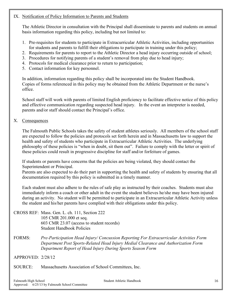#### IX. Notification of Policy Information to Parents and Students

The Athletic Director in consultation with the Principal shall disseminate to parents and students on annual basis information regarding this policy, including but not limited to:

- 1. Pre-requisites for students to participate in Extracurricular Athletic Activities, including opportunities for students and parents to fulfill their obligations to participate in training under this policy;
- 2. Requirements for parents to report to the Athletic Director a head injury occurring outside of school;
- 3. Procedures for notifying parents of a student's removal from play due to head injury;
- 4. Protocols for medical clearance prior to return to participation;
- 5. Contact information for key personnel.

In addition, information regarding this policy shall be incorporated into the Student Handbook. Copies of forms referenced in this policy may be obtained from the Athletic Department or the nurse's office.

School staff will work with parents of limited English proficiency to facilitate effective notice of this policy and effective communication regarding suspected head injury. In the event an interpreter is needed, parents and/or staff should contact the Principal's office.

#### X. Consequences

The Falmouth Public Schools takes the safety of student athletes seriously. All members of the school staff are expected to follow the policies and protocols set forth herein and in Massachusetts law to support the health and safety of students who participate in Extracurricular Athletic Activities. The underlying philosophy of these policies is "when in doubt, sit them out". Failure to comply with the letter or spirit of these policies could result in progressive discipline for staff and/or forfeiture of games.

If students or parents have concerns that the policies are being violated, they should contact the Superintendent or Principal.

Parents are also expected to do their part in supporting the health and safety of students by ensuring that all documentation required by this policy is submitted in a timely manner.

Each student must also adhere to the rules of safe play as instructed by their coaches. Students must also immediately inform a coach or other adult in the event the student believes he/she may have been injured during an activity. No student will be permitted to participate in an Extracurricular Athletic Activity unless the student and his/her parents have complied with their obligations under this policy.

- CROSS REF: Mass. Gen. L. ch. 111, Section 222 105 CMR 201.000 et seq. 603 CMR 23.07 (access to student records) Student Handbook Policies
- FORMS: *Pre-Participation Head Injury/ Concussion Reporting For Extracurricular Activities Form Department Post Sports-Related Head Injury Medial Clearance and Authorization Form Department Report of Head Injury During Sports Season Form*

APPROVED: 2/28/12

SOURCE: Massachusetts Association of School Committees, Inc.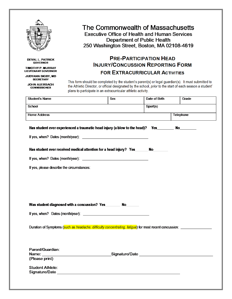

**DEVAL L. PATRICK GOVERNOR** 

TIMOTHY P. MURRAY **LIEUTENANT GOVERNOR** 

**JUDYANN BIGBY, MD SECRETARY** 

**JOHN AUERBACH COMMISSIONER** 

## The Commonwealth of Massachusetts **Executive Office of Health and Human Services Department of Public Health** 250 Washington Street, Boston, MA 02108-4619

## **PRE-PARTICIPATION HEAD INJURY/CONCUSSION REPORTING FORM FOR EXTRACURRICULAR ACTIVITIES**

This form should be completed by the student's parent(s) or legal guardian(s). It must submitted to the Athletic Director, or official designated by the school, prior to the start of each season a student' plans to participate in an extracurricular athletic activity.

| <b>Student's Name</b>                                                                                                                                                                                                                                     | Sex | Date of Birth | Grade            |
|-----------------------------------------------------------------------------------------------------------------------------------------------------------------------------------------------------------------------------------------------------------|-----|---------------|------------------|
| <b>School</b>                                                                                                                                                                                                                                             |     | Sport(s)      |                  |
| <b>Home Address</b>                                                                                                                                                                                                                                       |     |               | <b>Telephone</b> |
| Has student ever experienced a traumatic head injury (a blow to the head)? Yes                                                                                                                                                                            |     |               |                  |
| Has student ever received medical attention for a head injury? Yes                                                                                                                                                                                        |     | <b>Note</b>   |                  |
|                                                                                                                                                                                                                                                           |     |               |                  |
| If yes, please describe the circumstances:                                                                                                                                                                                                                |     |               |                  |
|                                                                                                                                                                                                                                                           |     |               |                  |
|                                                                                                                                                                                                                                                           |     |               |                  |
|                                                                                                                                                                                                                                                           |     |               |                  |
| Was student diagnosed with a concussion? Yes________ No_____                                                                                                                                                                                              |     |               |                  |
|                                                                                                                                                                                                                                                           |     |               |                  |
|                                                                                                                                                                                                                                                           |     |               |                  |
| Duration of Symptoms (such as <i>headache, difficulty concentrating, fatigue</i> ) for most recent concussion:                                                                                                                                            |     |               |                  |
|                                                                                                                                                                                                                                                           |     |               |                  |
|                                                                                                                                                                                                                                                           |     |               |                  |
| Parent/Guardian:                                                                                                                                                                                                                                          |     |               |                  |
| (Please print)                                                                                                                                                                                                                                            |     |               |                  |
| <b>Student Athlete:</b><br>Signature/Date and the contract of the contract of the contract of the contract of the contract of the contract of the contract of the contract of the contract of the contract of the contract of the contract of the contrac |     |               |                  |
|                                                                                                                                                                                                                                                           |     |               |                  |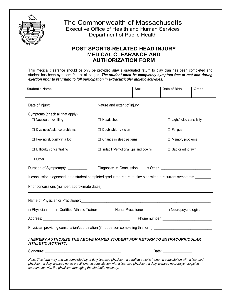

# The Commonwealth of Massachusetts

Executive Office of Health and Human Services Department of Public Health

### **POST SPORTS-RELATED HEAD INJURY MEDICAL CLEARANCE AND AUTHORIZATION FORM**

This medical clearance should be only be provided *after* a graduated return to play plan has been completed and student has been symptom free at all stages. *The student must be completely symptom free at rest and during exertion prior to returning to full participation in extracurricular athletic activities***.** 

| <b>Student's Name</b>                                                                                                                                                                                                                                                                                                                  |                                             | Sex | Date of Birth                                                                                                                                                                                                                        | Grade |
|----------------------------------------------------------------------------------------------------------------------------------------------------------------------------------------------------------------------------------------------------------------------------------------------------------------------------------------|---------------------------------------------|-----|--------------------------------------------------------------------------------------------------------------------------------------------------------------------------------------------------------------------------------------|-------|
| Date of injury: _____________________                                                                                                                                                                                                                                                                                                  |                                             |     |                                                                                                                                                                                                                                      |       |
| Symptoms (check all that apply):                                                                                                                                                                                                                                                                                                       |                                             |     |                                                                                                                                                                                                                                      |       |
| □ Nausea or vomiting                                                                                                                                                                                                                                                                                                                   | $\Box$ Headaches                            |     | □ Light/noise sensitivity                                                                                                                                                                                                            |       |
| $\Box$ Dizziness/balance problems                                                                                                                                                                                                                                                                                                      | □ Double/blurry vision                      |     | $\Box$ Fatigue                                                                                                                                                                                                                       |       |
| $\Box$ Feeling sluggish/"in a fog"                                                                                                                                                                                                                                                                                                     | $\Box$ Change in sleep patterns             |     | $\Box$ Memory problems                                                                                                                                                                                                               |       |
| □ Difficulty concentrating                                                                                                                                                                                                                                                                                                             | $\Box$ Irritability/emotional ups and downs |     | $\Box$ Sad or withdrawn                                                                                                                                                                                                              |       |
| $\Box$ Other                                                                                                                                                                                                                                                                                                                           |                                             |     |                                                                                                                                                                                                                                      |       |
| Duration of Symptom(s): __________                                                                                                                                                                                                                                                                                                     |                                             |     |                                                                                                                                                                                                                                      |       |
| If concussion diagnosed, date student completed graduated return to play plan without recurrent symptoms: _______                                                                                                                                                                                                                      |                                             |     |                                                                                                                                                                                                                                      |       |
|                                                                                                                                                                                                                                                                                                                                        |                                             |     |                                                                                                                                                                                                                                      |       |
|                                                                                                                                                                                                                                                                                                                                        |                                             |     |                                                                                                                                                                                                                                      |       |
|                                                                                                                                                                                                                                                                                                                                        |                                             |     |                                                                                                                                                                                                                                      |       |
| $\Box$ Physician $\Box$ Certified Athletic Trainer                                                                                                                                                                                                                                                                                     | □ Nurse Practitioner                        |     | $\Box$ Neuropsychologist                                                                                                                                                                                                             |       |
| Address: No. 2014   Address: No. 2014   Address: No. 2014   Address: No. 2014   Address: No. 2014   Address: No. 2014   Address: No. 2014   Address: No. 2014   Address: No. 2014   Address: No. 2014   Address: No. 2014   Ad                                                                                                         |                                             |     | Phone number: <u>contract and the contract of the contract of the contract of the contract of the contract of the contract of the contract of the contract of the contract of the contract of the contract of the contract of th</u> |       |
| Physician providing consultation/coordination (if not person completing this form): __________________________                                                                                                                                                                                                                         |                                             |     |                                                                                                                                                                                                                                      |       |
| I HEREBY AUTHORIZE THE ABOVE NAMED STUDENT FOR RETURN TO EXTRACURRICULAR<br><b>ATHLETIC ACTIVITY.</b>                                                                                                                                                                                                                                  |                                             |     |                                                                                                                                                                                                                                      |       |
|                                                                                                                                                                                                                                                                                                                                        |                                             |     | Date: $\sqrt{ }$                                                                                                                                                                                                                     |       |
| Note: This form may only be completed by: a duly licensed physician; a certified athletic trainer in consultation with a licensed<br>physician; a duly licensed nurse practitioner in consultation with a licensed physician; a duly licensed neuropsychologist in<br>coordination with the physician managing the student's recovery. |                                             |     |                                                                                                                                                                                                                                      |       |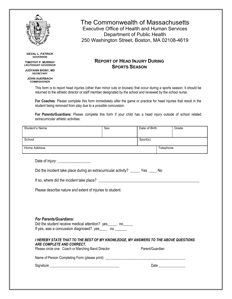

**DEVAL L. PATRICK GOVERNOR**

**TIMOTHY P. MURRAY LIEUTENANT GOVERNOR**

**JUDYANN BIGBY, MD SECRETARY**

**JOHN AUERBACH COMMISSIONER**

# The Commonwealth of Massachusetts

Executive Office of Health and Human Services Department of Public Health 250 Washington Street, Boston, MA 02108-4619

#### **REPORT OF HEAD INJURY DURING SPORTS SEASON**

This form is to report head injuries (other than minor cuts or bruises) that occur during a sports season. It should be returned to the athletic director or staff member designated by the school and reviewed by the school nurse.

**For Coaches**: Please complete this form immediately after the game or practice for head injuries that result in the student being removed from play due to a *possible* concussion.

**For Parents/Guardians**: Please complete this form if your child has a head injury outside of school related extracurricular athletic activities.

|                                                                                                                                            | Sex | Date of Birth   | Grade     |
|--------------------------------------------------------------------------------------------------------------------------------------------|-----|-----------------|-----------|
| School                                                                                                                                     |     | Sport(s)        |           |
| <b>Home Address</b>                                                                                                                        |     |                 | Telephone |
| Date of injury: __________________                                                                                                         |     |                 |           |
| Did the incident take place during an extracurricular activity? ______ Yes _____ No                                                        |     |                 |           |
|                                                                                                                                            |     |                 |           |
| Please describe nature and extent of injuries to student:                                                                                  |     |                 |           |
|                                                                                                                                            |     |                 |           |
|                                                                                                                                            |     |                 |           |
|                                                                                                                                            |     |                 |           |
| <b>For Parents/Guardians:</b><br>Did the student receive medical attention? yes_____ no_____<br>If yes, was a concussion diagnosed? yes no |     |                 |           |
| I HEREBY STATE THAT TO THE BEST OF MY KNOWLEDGE, MY ANSWERS TO THE ABOVE QUESTIONS<br>ARE COMPLETE AND CORRECT.                            |     |                 |           |
| Please circle one: Coach or Marching Band Director                                                                                         |     | Parent/Guardian |           |
|                                                                                                                                            |     |                 |           |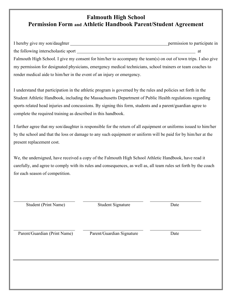## **Falmouth High School Permission Form and Athletic Handbook Parent/Student Agreement**

| I hereby give my son/daughter                                                                                  | permission to participate in |
|----------------------------------------------------------------------------------------------------------------|------------------------------|
| the following interscholastic sport                                                                            | at                           |
| Falmouth High School. I give my consent for him/her to accompany the team(s) on out of town trips. I also give |                              |
| my permission for designated physicians, emergency medical technicians, school trainers or team coaches to     |                              |
| render medical aide to him/her in the event of an injury or emergency.                                         |                              |

I understand that participation in the athletic program is governed by the rules and policies set forth in the Student Athletic Handbook, including the Massachusetts Department of Public Health regulations regarding sports related head injuries and concussions. By signing this form, students and a parent/guardian agree to complete the required training as described in this handbook.

I further agree that my son/daughter is responsible for the return of all equipment or uniforms issued to him/her by the school and that the loss or damage to any such equipment or uniform will be paid for by him/her at the present replacement cost.

We, the undersigned, have received a copy of the Falmouth High School Athletic Handbook, have read it carefully, and agree to comply with its rules and consequences, as well as, all team rules set forth by the coach for each season of competition.

| <b>Student (Print Name)</b>  | <b>Student Signature</b>  | Date |
|------------------------------|---------------------------|------|
|                              |                           |      |
| Parent/Guardian (Print Name) | Parent/Guardian Signature | Date |
|                              |                           |      |
|                              |                           |      |
|                              |                           |      |